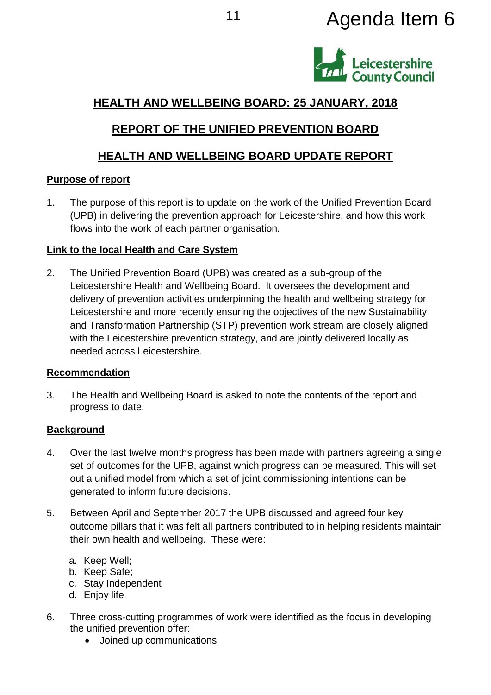# <sup>11</sup> Agenda Item 6



# **HEALTH AND WELLBEING BOARD: 25 JANUARY, 2018**

# **REPORT OF THE UNIFIED PREVENTION BOARD**

# **HEALTH AND WELLBEING BOARD UPDATE REPORT**

## **Purpose of report**

1. The purpose of this report is to update on the work of the Unified Prevention Board (UPB) in delivering the prevention approach for Leicestershire, and how this work flows into the work of each partner organisation.

## **Link to the local Health and Care System**

2. The Unified Prevention Board (UPB) was created as a sub-group of the Leicestershire Health and Wellbeing Board. It oversees the development and delivery of prevention activities underpinning the health and wellbeing strategy for Leicestershire and more recently ensuring the objectives of the new Sustainability and Transformation Partnership (STP) prevention work stream are closely aligned with the Leicestershire prevention strategy, and are jointly delivered locally as needed across Leicestershire.

## **Recommendation**

3. The Health and Wellbeing Board is asked to note the contents of the report and progress to date.

## **Background**

- 4. Over the last twelve months progress has been made with partners agreeing a single set of outcomes for the UPB, against which progress can be measured. This will set out a unified model from which a set of joint commissioning intentions can be generated to inform future decisions.
- 5. Between April and September 2017 the UPB discussed and agreed four key outcome pillars that it was felt all partners contributed to in helping residents maintain their own health and wellbeing. These were:
	- a. Keep Well;
	- b. Keep Safe;
	- c. Stay Independent
	- d. Enjoy life
- 6. Three cross-cutting programmes of work were identified as the focus in developing the unified prevention offer:
	- Joined up communications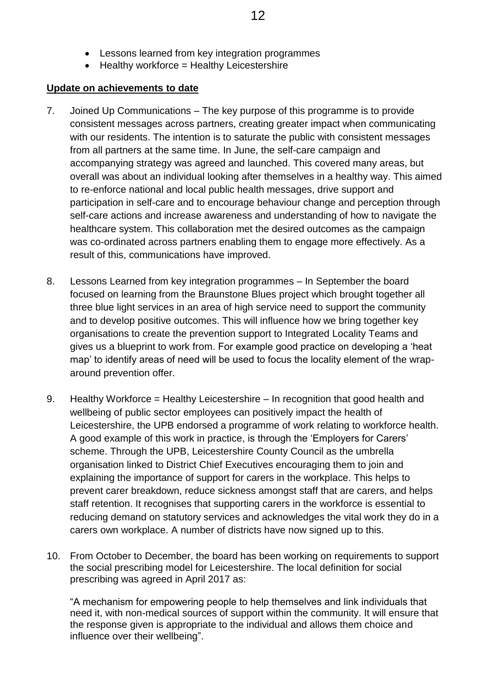- Lessons learned from key integration programmes
- $\bullet$  Healthy workforce = Healthy Leicestershire

#### **Update on achievements to date**

- 7. Joined Up Communications The key purpose of this programme is to provide consistent messages across partners, creating greater impact when communicating with our residents. The intention is to saturate the public with consistent messages from all partners at the same time. In June, the self-care campaign and accompanying strategy was agreed and launched. This covered many areas, but overall was about an individual looking after themselves in a healthy way. This aimed to re-enforce national and local public health messages, drive support and participation in self-care and to encourage behaviour change and perception through self-care actions and increase awareness and understanding of how to navigate the healthcare system. This collaboration met the desired outcomes as the campaign was co-ordinated across partners enabling them to engage more effectively. As a result of this, communications have improved.
- 8. Lessons Learned from key integration programmes In September the board focused on learning from the Braunstone Blues project which brought together all three blue light services in an area of high service need to support the community and to develop positive outcomes. This will influence how we bring together key organisations to create the prevention support to Integrated Locality Teams and gives us a blueprint to work from. For example good practice on developing a 'heat map' to identify areas of need will be used to focus the locality element of the wraparound prevention offer.
- 9. Healthy Workforce = Healthy Leicestershire In recognition that good health and wellbeing of public sector employees can positively impact the health of Leicestershire, the UPB endorsed a programme of work relating to workforce health. A good example of this work in practice, is through the 'Employers for Carers' scheme. Through the UPB, Leicestershire County Council as the umbrella organisation linked to District Chief Executives encouraging them to join and explaining the importance of support for carers in the workplace. This helps to prevent carer breakdown, reduce sickness amongst staff that are carers, and helps staff retention. It recognises that supporting carers in the workforce is essential to reducing demand on statutory services and acknowledges the vital work they do in a carers own workplace. A number of districts have now signed up to this.
- 10. From October to December, the board has been working on requirements to support the social prescribing model for Leicestershire. The local definition for social prescribing was agreed in April 2017 as:

"A mechanism for empowering people to help themselves and link individuals that need it, with non-medical sources of support within the community. It will ensure that the response given is appropriate to the individual and allows them choice and influence over their wellbeing".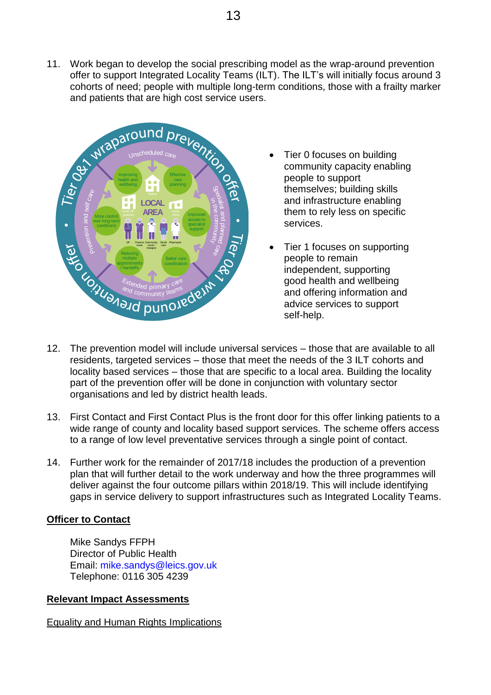11. Work began to develop the social prescribing model as the wrap-around prevention offer to support Integrated Locality Teams (ILT). The ILT's will initially focus around 3 cohorts of need; people with multiple long-term conditions, those with a frailty marker and patients that are high cost service users.



- Tier 0 focuses on building community capacity enabling people to support themselves; building skills and infrastructure enabling them to rely less on specific services.
- Tier 1 focuses on supporting people to remain independent, supporting good health and wellbeing and offering information and advice services to support self-help.
- 12. The prevention model will include universal services those that are available to all residents, targeted services – those that meet the needs of the 3 ILT cohorts and locality based services – those that are specific to a local area. Building the locality part of the prevention offer will be done in conjunction with voluntary sector organisations and led by district health leads.
- 13. First Contact and First Contact Plus is the front door for this offer linking patients to a wide range of county and locality based support services. The scheme offers access to a range of low level preventative services through a single point of contact.
- 14. Further work for the remainder of 2017/18 includes the production of a prevention plan that will further detail to the work underway and how the three programmes will deliver against the four outcome pillars within 2018/19. This will include identifying gaps in service delivery to support infrastructures such as Integrated Locality Teams.

#### **Officer to Contact**

Mike Sandys FFPH Director of Public Health Email: mike.sandys@leics.gov.uk Telephone: 0116 305 4239

#### **Relevant Impact Assessments**

Equality and Human Rights Implications